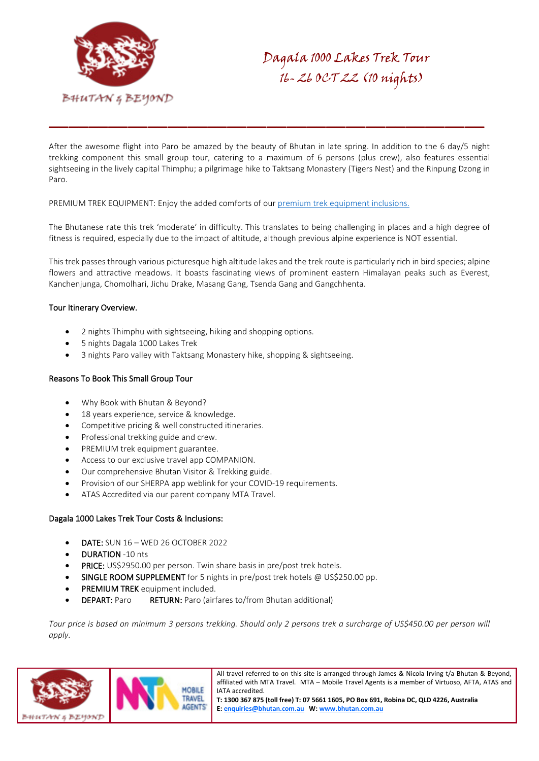

After the awesome flight into Paro be amazed by the beauty of Bhutan in late spring. In addition to the 6 day/5 night trekking component this small group tour, catering to a maximum of 6 persons (plus crew), also features essential sightseeing in the lively capital Thimphu; a pilgrimage hike to Taktsang Monastery (Tigers Nest) and the Rinpung Dzong in Paro.

PREMIUM TREK EQUIPMENT: Enjoy the added comforts of our [premium trek equipment inclusions.](https://bhutan.com.au/trek-in-bhutan/)

The Bhutanese rate this trek 'moderate' in difficulty. This translates to being challenging in places and a high degree of fitness is required, especially due to the impact of altitude, although previous alpine experience is NOT essential.

This trek passes through various picturesque high altitude lakes and the trek route is particularly rich in bird species; alpine flowers and attractive meadows. It boasts fascinating views of prominent eastern Himalayan peaks such as Everest, Kanchenjunga, Chomolhari, Jichu Drake, Masang Gang, Tsenda Gang and Gangchhenta.

# Tour Itinerary Overview.

- 2 nights Thimphu with sightseeing, hiking and shopping options.
- 5 nights Dagala 1000 Lakes Trek
- 3 nights Paro valley with Taktsang Monastery hike, shopping & sightseeing.

# Reasons To Book This Small Group Tour

- Why Book with Bhutan & Beyond?
- 18 years experience, service & knowledge.
- Competitive pricing & well constructed itineraries.
- Professional trekking guide and crew.
- PREMIUM trek equipment guarantee.
- Access to our exclusive travel app COMPANION.
- Our comprehensive Bhutan Visitor & Trekking guide.
- Provision of our SHERPA app weblink for your COVID-19 requirements.
- ATAS Accredited via our parent company MTA Travel.

#### Dagala 1000 Lakes Trek Tour Costs & Inclusions:

- DATE: SUN 16 WED 26 OCTOBER 2022
- **DURATION -10 nts**
- PRICE: US\$2950.00 per person. Twin share basis in pre/post trek hotels.
- SINGLE ROOM SUPPLEMENT for 5 nights in pre/post trek hotels @ US\$250.00 pp.
- PREMIUM TREK equipment included.
- **DEPART:** Paro RETURN: Paro (airfares to/from Bhutan additional)

*Tour price is based on minimum 3 persons trekking. Should only 2 persons trek a surcharge of US\$450.00 per person will apply.*



All travel referred to on this site is arranged through James & Nicola Irving t/a Bhutan & Beyond, affiliated with MTA Travel. MTA – Mobile Travel Agents is a member of Virtuoso, AFTA, ATAS and IATA accredited.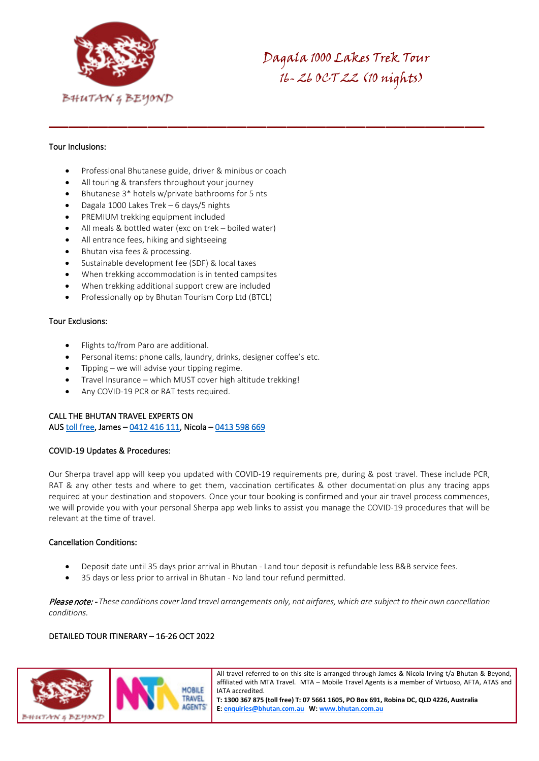

# Tour Inclusions:

- Professional Bhutanese guide, driver & minibus or coach
- All touring & transfers throughout your journey
- Bhutanese 3\* hotels w/private bathrooms for 5 nts
- Dagala 1000 Lakes Trek 6 days/5 nights
- PREMIUM trekking equipment included
- All meals & bottled water (exc on trek boiled water)
- All entrance fees, hiking and sightseeing
- Bhutan visa fees & processing.
- Sustainable development fee (SDF) & local taxes
- When trekking accommodation is in tented campsites
- When trekking additional support crew are included
- Professionally op by Bhutan Tourism Corp Ltd (BTCL)

# Tour Exclusions:

- Flights to/from Paro are additional.
- Personal items: phone calls, laundry, drinks, designer coffee's etc.
- Tipping we will advise your tipping regime.
- Travel Insurance which MUST cover high altitude trekking!
- Any COVID-19 PCR or RAT tests required.

# CALL THE BHUTAN TRAVEL EXPERTS ON AUS [toll free,](tel:1300%20367%20875) James – [0412 416 111,](tel:0412%20416%20111) Nicola [– 0413 598 669](tel:0413%20598%20669)

#### COVID-19 Updates & Procedures:

Our Sherpa travel app will keep you updated with COVID-19 requirements pre, during & post travel. These include PCR, RAT & any other tests and where to get them, vaccination certificates & other documentation plus any tracing apps required at your destination and stopovers. Once your tour booking is confirmed and your air travel process commences, we will provide you with your personal Sherpa app web links to assist you manage the COVID-19 procedures that will be relevant at the time of travel.

#### Cancellation Conditions:

- Deposit date until 35 days prior arrival in Bhutan Land tour deposit is refundable less B&B service fees.
- 35 days or less prior to arrival in Bhutan No land tour refund permitted.

Please note: - *These conditions cover land travel arrangements only, not airfares, which are subject to their own cancellation conditions.*

# DETAILED TOUR ITINERARY – 16-26 OCT 2022



All travel referred to on this site is arranged through James & Nicola Irving t/a Bhutan & Beyond, affiliated with MTA Travel. MTA – Mobile Travel Agents is a member of Virtuoso, AFTA, ATAS and IATA accredited.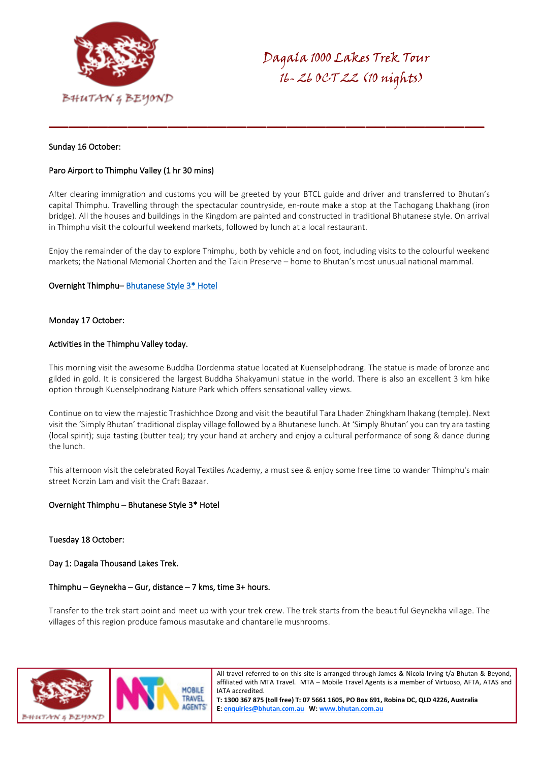

#### Sunday 16 October:

# Paro Airport to Thimphu Valley (1 hr 30 mins)

After clearing immigration and customs you will be greeted by your BTCL guide and driver and transferred to Bhutan's capital Thimphu. Travelling through the spectacular countryside, en-route make a stop at the Tachogang Lhakhang (iron bridge). All the houses and buildings in the Kingdom are painted and constructed in traditional Bhutanese style. On arrival in Thimphu visit the colourful weekend markets, followed by lunch at a local restaurant.

Enjoy the remainder of the day to explore Thimphu, both by vehicle and on foot, including visits to the colourful weekend markets; the National Memorial Chorten and the Takin Preserve – home to Bhutan's most unusual national mammal.

#### Overnight Thimphu– [Bhutanese Style 3\\* Hotel](https://bhutan.com.au/thimphu-hotels/)

#### Monday 17 October:

#### Activities in the Thimphu Valley today.

This morning visit the awesome Buddha Dordenma statue located at Kuenselphodrang. The statue is made of bronze and gilded in gold. It is considered the largest Buddha Shakyamuni statue in the world. There is also an excellent 3 km hike option through Kuenselphodrang Nature Park which offers sensational valley views.

Continue on to view the majestic Trashichhoe Dzong and visit the beautiful Tara Lhaden Zhingkham lhakang (temple). Next visit the 'Simply Bhutan' traditional display village followed by a Bhutanese lunch. At 'Simply Bhutan' you can try ara tasting (local spirit); suja tasting (butter tea); try your hand at archery and enjoy a cultural performance of song & dance during the lunch.

This afternoon visit the celebrated Royal Textiles Academy, a must see & enjoy some free time to wander Thimphu's main street Norzin Lam and visit the Craft Bazaar.

#### Overnight Thimphu – Bhutanese Style 3\* Hotel

#### Tuesday 18 October:

Day 1: Dagala Thousand Lakes Trek.

#### Thimphu – Geynekha – Gur, distance – 7 kms, time 3+ hours.

Transfer to the trek start point and meet up with your trek crew. The trek starts from the beautiful Geynekha village. The villages of this region produce famous masutake and chantarelle mushrooms.



All travel referred to on this site is arranged through James & Nicola Irving t/a Bhutan & Beyond, affiliated with MTA Travel. MTA – Mobile Travel Agents is a member of Virtuoso, AFTA, ATAS and IATA accredited.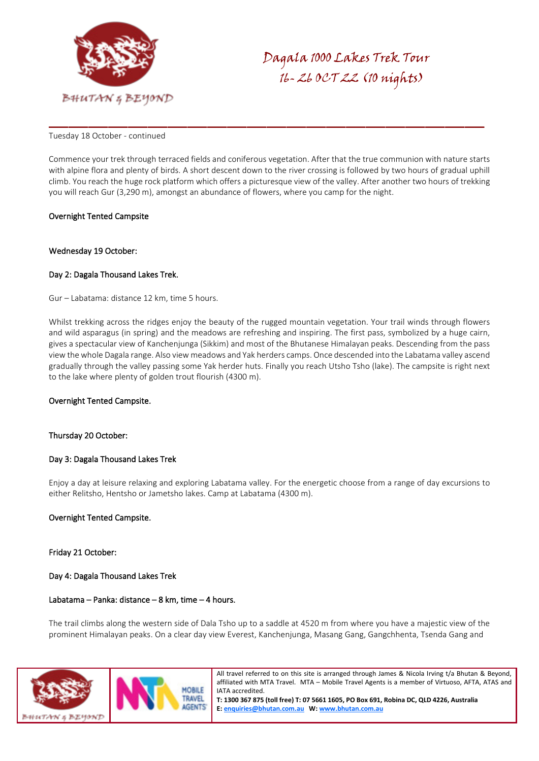

#### Tuesday 18 October - continued

Commence your trek through terraced fields and coniferous vegetation. After that the true communion with nature starts with alpine flora and plenty of birds. A short descent down to the river crossing is followed by two hours of gradual uphill climb. You reach the huge rock platform which offers a picturesque view of the valley. After another two hours of trekking you will reach Gur (3,290 m), amongst an abundance of flowers, where you camp for the night.

# Overnight Tented Campsite

#### Wednesday 19 October:

# Day 2: Dagala Thousand Lakes Trek.

Gur – Labatama: distance 12 km, time 5 hours.

Whilst trekking across the ridges enjoy the beauty of the rugged mountain vegetation. Your trail winds through flowers and wild asparagus (in spring) and the meadows are refreshing and inspiring. The first pass, symbolized by a huge cairn, gives a spectacular view of Kanchenjunga (Sikkim) and most of the Bhutanese Himalayan peaks. Descending from the pass view the whole Dagala range. Also view meadows and Yak herders camps. Once descended into the Labatama valley ascend gradually through the valley passing some Yak herder huts. Finally you reach Utsho Tsho (lake). The campsite is right next to the lake where plenty of golden trout flourish (4300 m).

#### Overnight Tented Campsite.

#### Thursday 20 October:

#### Day 3: Dagala Thousand Lakes Trek

Enjoy a day at leisure relaxing and exploring Labatama valley. For the energetic choose from a range of day excursions to either Relitsho, Hentsho or Jametsho lakes. Camp at Labatama (4300 m).

#### Overnight Tented Campsite.

#### Friday 21 October:

#### Day 4: Dagala Thousand Lakes Trek

#### Labatama – Panka: distance – 8 km, time – 4 hours.

The trail climbs along the western side of Dala Tsho up to a saddle at 4520 m from where you have a majestic view of the prominent Himalayan peaks. On a clear day view Everest, Kanchenjunga, Masang Gang, Gangchhenta, Tsenda Gang and



All travel referred to on this site is arranged through James & Nicola Irving t/a Bhutan & Beyond, affiliated with MTA Travel. MTA – Mobile Travel Agents is a member of Virtuoso, AFTA, ATAS and IATA accredited.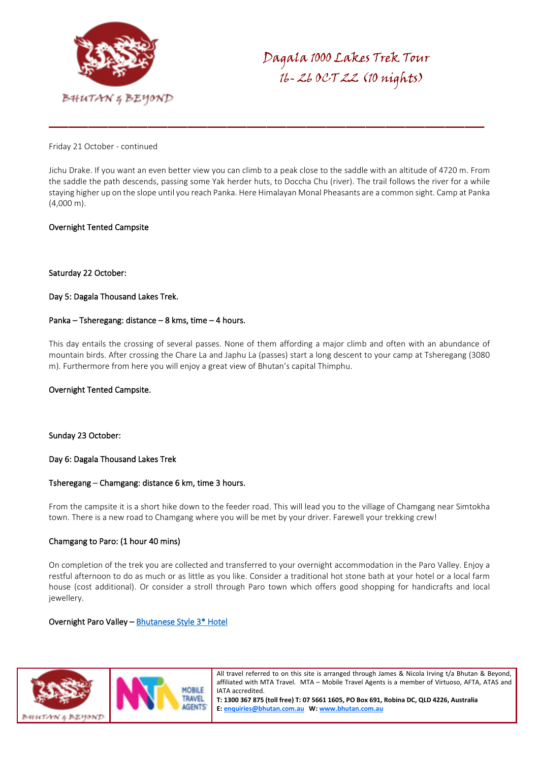

Friday 21 October - continued

Jichu Drake. If you want an even better view you can climb to a peak close to the saddle with an altitude of 4720 m. From the saddle the path descends, passing some Yak herder huts, to Doccha Chu (river). The trail follows the river for a while staying higher up on the slope until you reach Panka. Here Himalayan Monal Pheasants are a common sight. Camp at Panka (4,000 m).

#### Overnight Tented Campsite

#### Saturday 22 October:

# Day 5: Dagala Thousand Lakes Trek.

#### Panka – Tsheregang: distance – 8 kms, time – 4 hours.

This day entails the crossing of several passes. None of them affording a major climb and often with an abundance of mountain birds. After crossing the Chare La and Japhu La (passes) start a long descent to your camp at Tsheregang (3080 m). Furthermore from here you will enjoy a great view of Bhutan's capital Thimphu.

#### Overnight Tented Campsite.

Sunday 23 October:

#### Day 6: Dagala Thousand Lakes Trek

#### Tsheregang – Chamgang: distance 6 km, time 3 hours.

From the campsite it is a short hike down to the feeder road. This will lead you to the village of Chamgang near Simtokha town. There is a new road to Chamgang where you will be met by your driver. Farewell your trekking crew!

#### Chamgang to Paro: (1 hour 40 mins)

On completion of the trek you are collected and transferred to your overnight accommodation in the Paro Valley. Enjoy a restful afternoon to do as much or as little as you like. Consider a traditional hot stone bath at your hotel or a local farm house (cost additional). Or consider a stroll through Paro town which offers good shopping for handicrafts and local jewellery.

#### Overnight Paro Valley [– Bhutanese Style 3\\* Hotel](https://bhutan.com.au/paro-valley-hotels/)



All travel referred to on this site is arranged through James & Nicola Irving t/a Bhutan & Beyond, affiliated with MTA Travel. MTA – Mobile Travel Agents is a member of Virtuoso, AFTA, ATAS and IATA accredited.